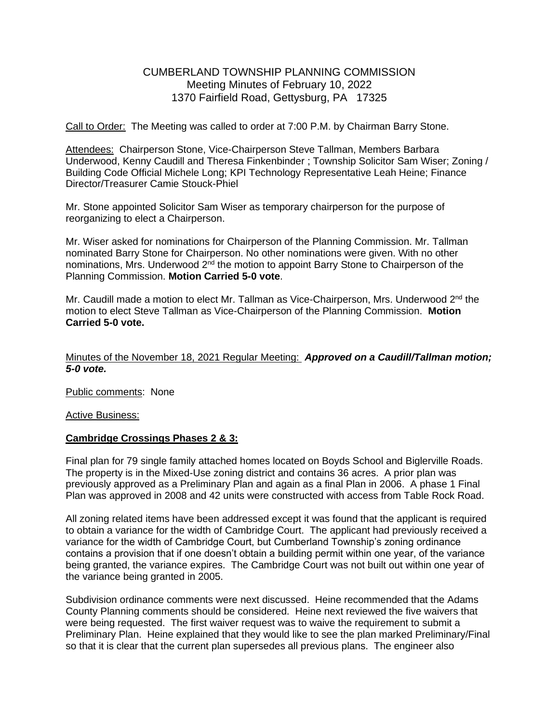# CUMBERLAND TOWNSHIP PLANNING COMMISSION Meeting Minutes of February 10, 2022 1370 Fairfield Road, Gettysburg, PA 17325

Call to Order: The Meeting was called to order at 7:00 P.M. by Chairman Barry Stone.

Attendees: Chairperson Stone, Vice-Chairperson Steve Tallman, Members Barbara Underwood, Kenny Caudill and Theresa Finkenbinder ; Township Solicitor Sam Wiser; Zoning / Building Code Official Michele Long; KPI Technology Representative Leah Heine; Finance Director/Treasurer Camie Stouck-Phiel

Mr. Stone appointed Solicitor Sam Wiser as temporary chairperson for the purpose of reorganizing to elect a Chairperson.

Mr. Wiser asked for nominations for Chairperson of the Planning Commission. Mr. Tallman nominated Barry Stone for Chairperson. No other nominations were given. With no other nominations, Mrs. Underwood 2<sup>nd</sup> the motion to appoint Barry Stone to Chairperson of the Planning Commission. **Motion Carried 5-0 vote**.

Mr. Caudill made a motion to elect Mr. Tallman as Vice-Chairperson, Mrs. Underwood 2<sup>nd</sup> the motion to elect Steve Tallman as Vice-Chairperson of the Planning Commission. **Motion Carried 5-0 vote.**

Minutes of the November 18, 2021 Regular Meeting: *Approved on a Caudill/Tallman motion; 5-0 vote.*

Public comments: None

Active Business:

#### **Cambridge Crossings Phases 2 & 3:**

Final plan for 79 single family attached homes located on Boyds School and Biglerville Roads. The property is in the Mixed-Use zoning district and contains 36 acres. A prior plan was previously approved as a Preliminary Plan and again as a final Plan in 2006. A phase 1 Final Plan was approved in 2008 and 42 units were constructed with access from Table Rock Road.

All zoning related items have been addressed except it was found that the applicant is required to obtain a variance for the width of Cambridge Court. The applicant had previously received a variance for the width of Cambridge Court, but Cumberland Township's zoning ordinance contains a provision that if one doesn't obtain a building permit within one year, of the variance being granted, the variance expires. The Cambridge Court was not built out within one year of the variance being granted in 2005.

Subdivision ordinance comments were next discussed. Heine recommended that the Adams County Planning comments should be considered. Heine next reviewed the five waivers that were being requested. The first waiver request was to waive the requirement to submit a Preliminary Plan. Heine explained that they would like to see the plan marked Preliminary/Final so that it is clear that the current plan supersedes all previous plans. The engineer also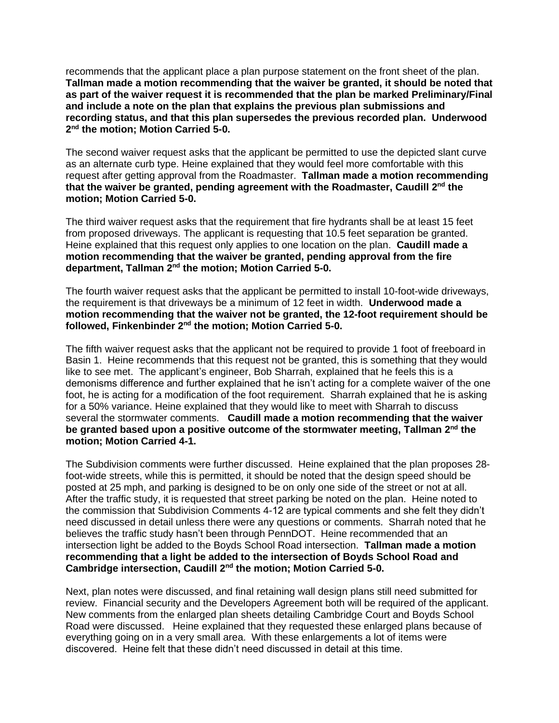recommends that the applicant place a plan purpose statement on the front sheet of the plan. **Tallman made a motion recommending that the waiver be granted, it should be noted that as part of the waiver request it is recommended that the plan be marked Preliminary/Final and include a note on the plan that explains the previous plan submissions and recording status, and that this plan supersedes the previous recorded plan. Underwood 2 nd the motion; Motion Carried 5-0.** 

The second waiver request asks that the applicant be permitted to use the depicted slant curve as an alternate curb type. Heine explained that they would feel more comfortable with this request after getting approval from the Roadmaster. **Tallman made a motion recommending that the waiver be granted, pending agreement with the Roadmaster, Caudill 2nd the motion; Motion Carried 5-0.** 

The third waiver request asks that the requirement that fire hydrants shall be at least 15 feet from proposed driveways. The applicant is requesting that 10.5 feet separation be granted. Heine explained that this request only applies to one location on the plan. **Caudill made a motion recommending that the waiver be granted, pending approval from the fire department, Tallman 2nd the motion; Motion Carried 5-0.** 

The fourth waiver request asks that the applicant be permitted to install 10-foot-wide driveways, the requirement is that driveways be a minimum of 12 feet in width. **Underwood made a motion recommending that the waiver not be granted, the 12-foot requirement should be followed, Finkenbinder 2 nd the motion; Motion Carried 5-0.**

The fifth waiver request asks that the applicant not be required to provide 1 foot of freeboard in Basin 1. Heine recommends that this request not be granted, this is something that they would like to see met. The applicant's engineer, Bob Sharrah, explained that he feels this is a demonisms difference and further explained that he isn't acting for a complete waiver of the one foot, he is acting for a modification of the foot requirement. Sharrah explained that he is asking for a 50% variance. Heine explained that they would like to meet with Sharrah to discuss several the stormwater comments. **Caudill made a motion recommending that the waiver be granted based upon a positive outcome of the stormwater meeting, Tallman 2nd the motion; Motion Carried 4-1.**

The Subdivision comments were further discussed. Heine explained that the plan proposes 28 foot-wide streets, while this is permitted, it should be noted that the design speed should be posted at 25 mph, and parking is designed to be on only one side of the street or not at all. After the traffic study, it is requested that street parking be noted on the plan. Heine noted to the commission that Subdivision Comments 4-12 are typical comments and she felt they didn't need discussed in detail unless there were any questions or comments. Sharrah noted that he believes the traffic study hasn't been through PennDOT. Heine recommended that an intersection light be added to the Boyds School Road intersection. **Tallman made a motion recommending that a light be added to the intersection of Boyds School Road and**  Cambridge intersection, Caudill 2<sup>nd</sup> the motion; Motion Carried 5-0.

Next, plan notes were discussed, and final retaining wall design plans still need submitted for review. Financial security and the Developers Agreement both will be required of the applicant. New comments from the enlarged plan sheets detailing Cambridge Court and Boyds School Road were discussed. Heine explained that they requested these enlarged plans because of everything going on in a very small area. With these enlargements a lot of items were discovered. Heine felt that these didn't need discussed in detail at this time.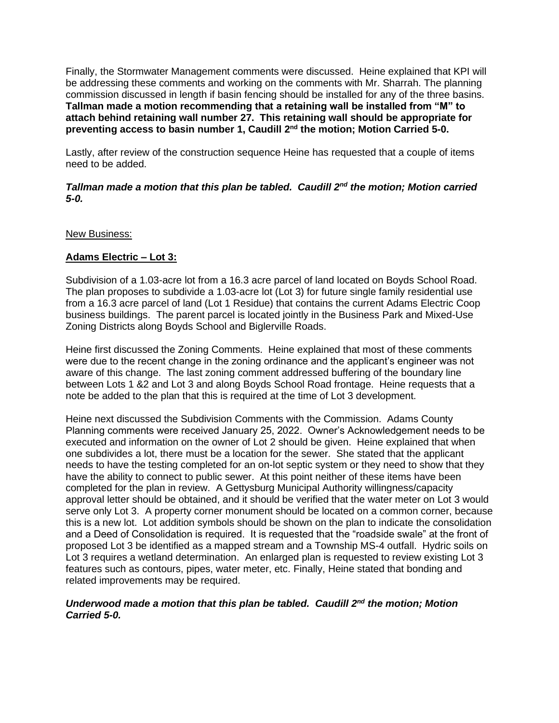Finally, the Stormwater Management comments were discussed. Heine explained that KPI will be addressing these comments and working on the comments with Mr. Sharrah. The planning commission discussed in length if basin fencing should be installed for any of the three basins. **Tallman made a motion recommending that a retaining wall be installed from "M" to attach behind retaining wall number 27. This retaining wall should be appropriate for**  preventing access to basin number 1, Caudill 2<sup>nd</sup> the motion; Motion Carried 5-0.

Lastly, after review of the construction sequence Heine has requested that a couple of items need to be added.

# *Tallman made a motion that this plan be tabled. Caudill 2nd the motion; Motion carried 5-0.*

#### New Business:

# **Adams Electric – Lot 3:**

Subdivision of a 1.03-acre lot from a 16.3 acre parcel of land located on Boyds School Road. The plan proposes to subdivide a 1.03-acre lot (Lot 3) for future single family residential use from a 16.3 acre parcel of land (Lot 1 Residue) that contains the current Adams Electric Coop business buildings. The parent parcel is located jointly in the Business Park and Mixed-Use Zoning Districts along Boyds School and Biglerville Roads.

Heine first discussed the Zoning Comments. Heine explained that most of these comments were due to the recent change in the zoning ordinance and the applicant's engineer was not aware of this change. The last zoning comment addressed buffering of the boundary line between Lots 1 &2 and Lot 3 and along Boyds School Road frontage. Heine requests that a note be added to the plan that this is required at the time of Lot 3 development.

Heine next discussed the Subdivision Comments with the Commission. Adams County Planning comments were received January 25, 2022. Owner's Acknowledgement needs to be executed and information on the owner of Lot 2 should be given. Heine explained that when one subdivides a lot, there must be a location for the sewer. She stated that the applicant needs to have the testing completed for an on-lot septic system or they need to show that they have the ability to connect to public sewer. At this point neither of these items have been completed for the plan in review. A Gettysburg Municipal Authority willingness/capacity approval letter should be obtained, and it should be verified that the water meter on Lot 3 would serve only Lot 3. A property corner monument should be located on a common corner, because this is a new lot. Lot addition symbols should be shown on the plan to indicate the consolidation and a Deed of Consolidation is required. It is requested that the "roadside swale" at the front of proposed Lot 3 be identified as a mapped stream and a Township MS-4 outfall. Hydric soils on Lot 3 requires a wetland determination. An enlarged plan is requested to review existing Lot 3 features such as contours, pipes, water meter, etc. Finally, Heine stated that bonding and related improvements may be required.

# *Underwood made a motion that this plan be tabled. Caudill 2 nd the motion; Motion Carried 5-0.*